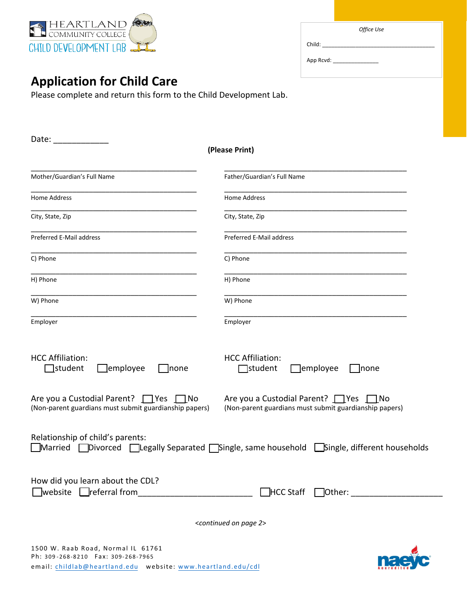

| Office Use                    |  |
|-------------------------------|--|
| Child: <u>_______________</u> |  |
| App Rcvd: _________________   |  |
|                               |  |
|                               |  |

## **Application for Child Care**

Please complete and return this form to the Child Development Lab.

| Date:                                                                                                                             |                                                                                                |  |  |  |
|-----------------------------------------------------------------------------------------------------------------------------------|------------------------------------------------------------------------------------------------|--|--|--|
|                                                                                                                                   | (Please Print)                                                                                 |  |  |  |
| Mother/Guardian's Full Name                                                                                                       | Father/Guardian's Full Name                                                                    |  |  |  |
| Home Address                                                                                                                      | Home Address                                                                                   |  |  |  |
| City, State, Zip                                                                                                                  | City, State, Zip                                                                               |  |  |  |
| Preferred E-Mail address                                                                                                          | Preferred E-Mail address                                                                       |  |  |  |
| C) Phone                                                                                                                          | C) Phone                                                                                       |  |  |  |
| H) Phone                                                                                                                          | H) Phone                                                                                       |  |  |  |
| W) Phone                                                                                                                          | W) Phone                                                                                       |  |  |  |
| Employer                                                                                                                          | Employer                                                                                       |  |  |  |
| <b>HCC Affiliation:</b><br>$\Box$ student<br>$\Box$ employee<br> none                                                             | <b>HCC Affiliation:</b><br>$\Box$ student<br>]employee<br> none                                |  |  |  |
| Are you a Custodial Parent? $\Box$ Yes $\Box$ No<br>(Non-parent guardians must submit guardianship papers)                        | Are you a Custodial Parent? PYes ∩No<br>(Non-parent guardians must submit guardianship papers) |  |  |  |
| Relationship of child's parents:<br>JDivorced □Legally Separated □Single, same household □Single, different households<br>Married |                                                                                                |  |  |  |
| How did you learn about the CDL?<br>$\Box$ website $\Box$ referral from                                                           |                                                                                                |  |  |  |
|                                                                                                                                   | <continued 2="" on="" page=""></continued>                                                     |  |  |  |

1500 W. Raab Road, Normal IL 61761 Ph: 309 -268-8210 Fax: 309-268-7965 email: childlab@heartland.edu website: www.heartland.edu/cdl